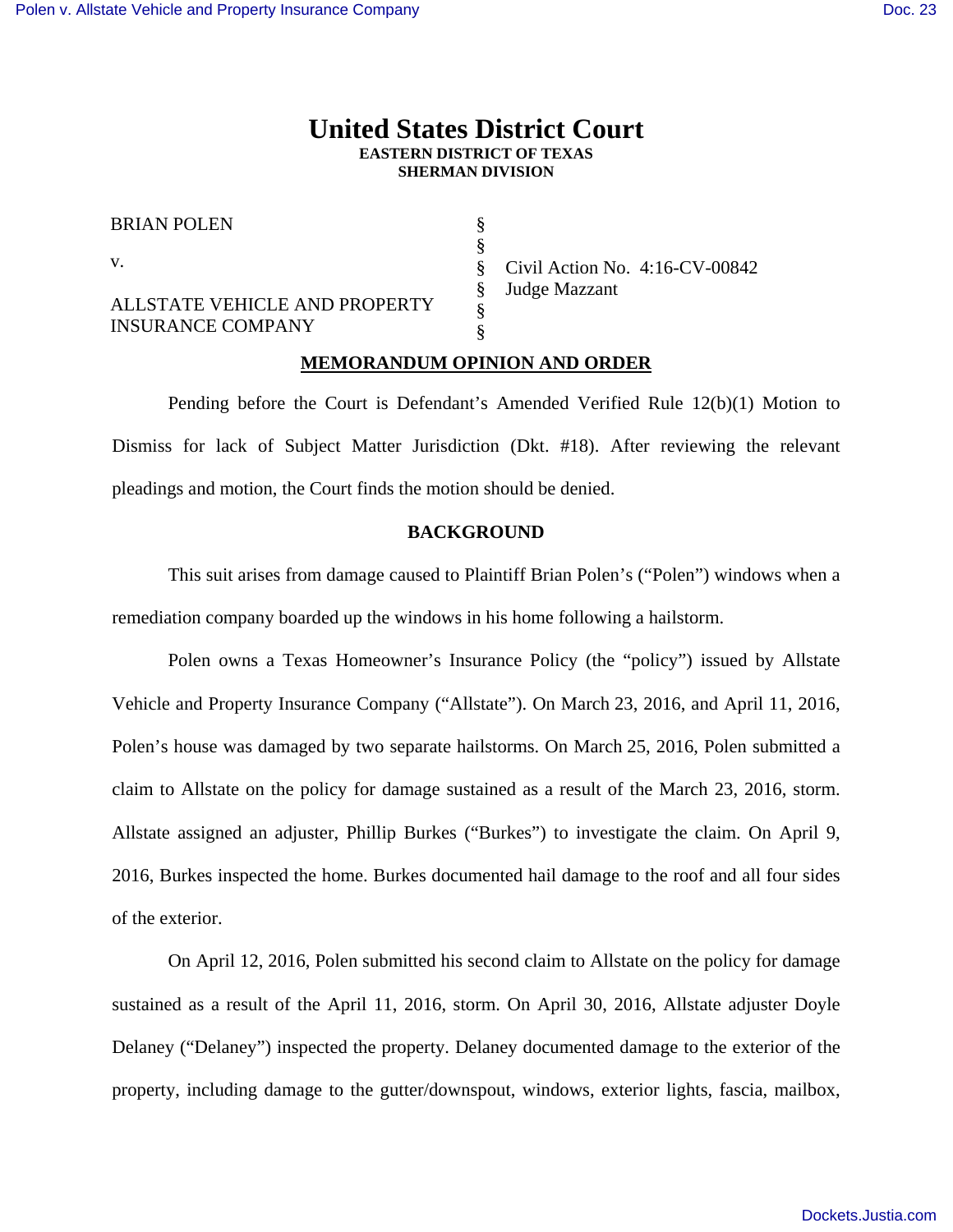# **United States District Court EASTERN DISTRICT OF TEXAS SHERMAN DIVISION**

§ § § § § §

BRIAN POLEN

v.

ALLSTATE VEHICLE AND PROPERTY INSURANCE COMPANY

Civil Action No. 4:16-CV-00842 Judge Mazzant

# **MEMORANDUM OPINION AND ORDER**

 Pending before the Court is Defendant's Amended Verified Rule 12(b)(1) Motion to Dismiss for lack of Subject Matter Jurisdiction (Dkt. #18). After reviewing the relevant pleadings and motion, the Court finds the motion should be denied.

### **BACKGROUND**

 This suit arises from damage caused to Plaintiff Brian Polen's ("Polen") windows when a remediation company boarded up the windows in his home following a hailstorm.

Polen owns a Texas Homeowner's Insurance Policy (the "policy") issued by Allstate Vehicle and Property Insurance Company ("Allstate"). On March 23, 2016, and April 11, 2016, Polen's house was damaged by two separate hailstorms. On March 25, 2016, Polen submitted a claim to Allstate on the policy for damage sustained as a result of the March 23, 2016, storm. Allstate assigned an adjuster, Phillip Burkes ("Burkes") to investigate the claim. On April 9, 2016, Burkes inspected the home. Burkes documented hail damage to the roof and all four sides of the exterior.

On April 12, 2016, Polen submitted his second claim to Allstate on the policy for damage sustained as a result of the April 11, 2016, storm. On April 30, 2016, Allstate adjuster Doyle Delaney ("Delaney") inspected the property. Delaney documented damage to the exterior of the property, including damage to the gutter/downspout, windows, exterior lights, fascia, mailbox,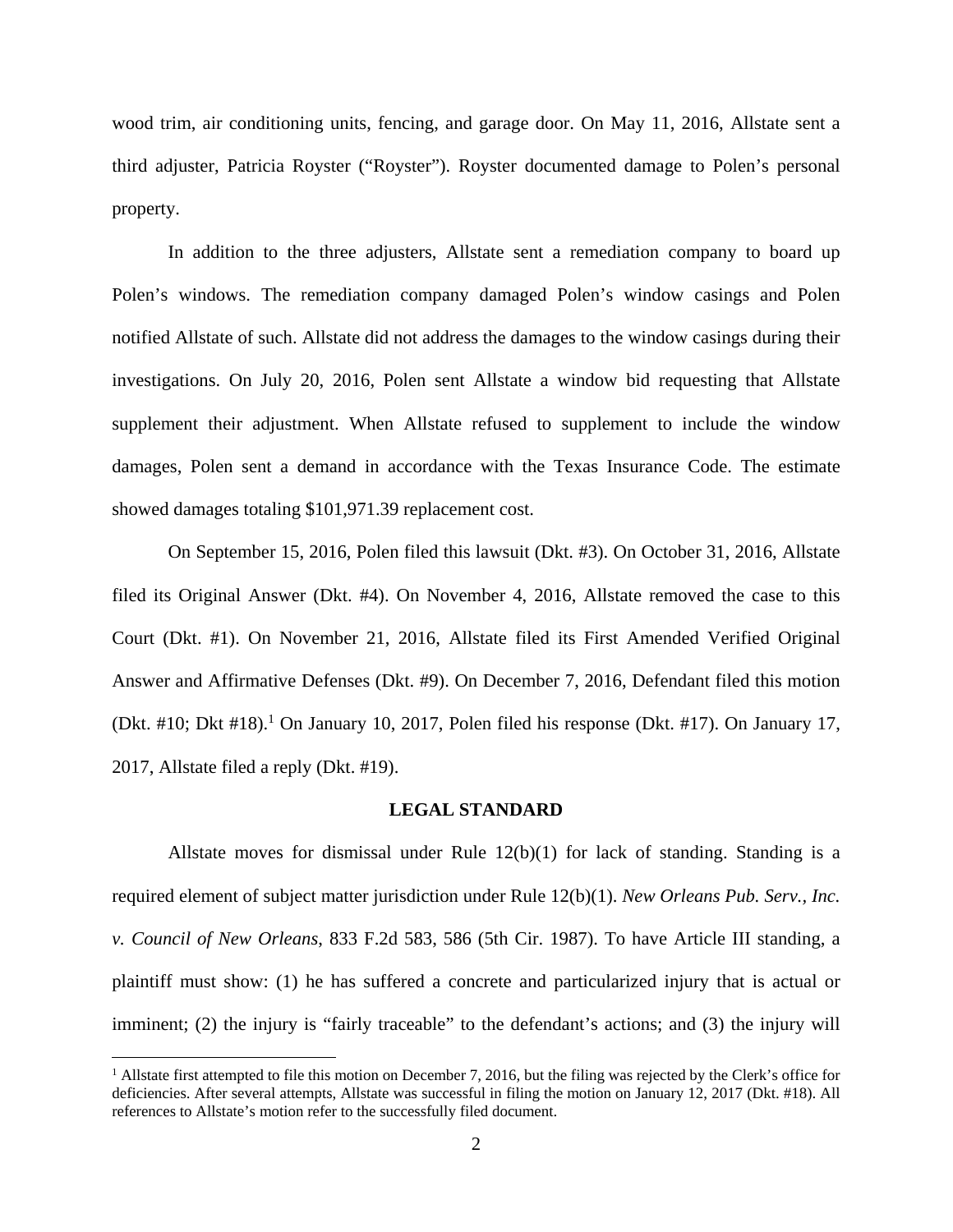wood trim, air conditioning units, fencing, and garage door. On May 11, 2016, Allstate sent a third adjuster, Patricia Royster ("Royster"). Royster documented damage to Polen's personal property.

In addition to the three adjusters, Allstate sent a remediation company to board up Polen's windows. The remediation company damaged Polen's window casings and Polen notified Allstate of such. Allstate did not address the damages to the window casings during their investigations. On July 20, 2016, Polen sent Allstate a window bid requesting that Allstate supplement their adjustment. When Allstate refused to supplement to include the window damages, Polen sent a demand in accordance with the Texas Insurance Code. The estimate showed damages totaling \$101,971.39 replacement cost.

On September 15, 2016, Polen filed this lawsuit (Dkt. #3). On October 31, 2016, Allstate filed its Original Answer (Dkt. #4). On November 4, 2016, Allstate removed the case to this Court (Dkt. #1). On November 21, 2016, Allstate filed its First Amended Verified Original Answer and Affirmative Defenses (Dkt. #9). On December 7, 2016, Defendant filed this motion (Dkt. #10; Dkt #18).<sup>1</sup> On January 10, 2017, Polen filed his response (Dkt. #17). On January 17, 2017, Allstate filed a reply (Dkt. #19).

#### **LEGAL STANDARD**

Allstate moves for dismissal under Rule 12(b)(1) for lack of standing. Standing is a required element of subject matter jurisdiction under Rule 12(b)(1). *New Orleans Pub. Serv., Inc. v. Council of New Orleans*, 833 F.2d 583, 586 (5th Cir. 1987). To have Article III standing, a plaintiff must show: (1) he has suffered a concrete and particularized injury that is actual or imminent; (2) the injury is "fairly traceable" to the defendant's actions; and (3) the injury will

<u>.</u>

<sup>&</sup>lt;sup>1</sup> Allstate first attempted to file this motion on December 7, 2016, but the filing was rejected by the Clerk's office for deficiencies. After several attempts, Allstate was successful in filing the motion on January 12, 2017 (Dkt. #18). All references to Allstate's motion refer to the successfully filed document.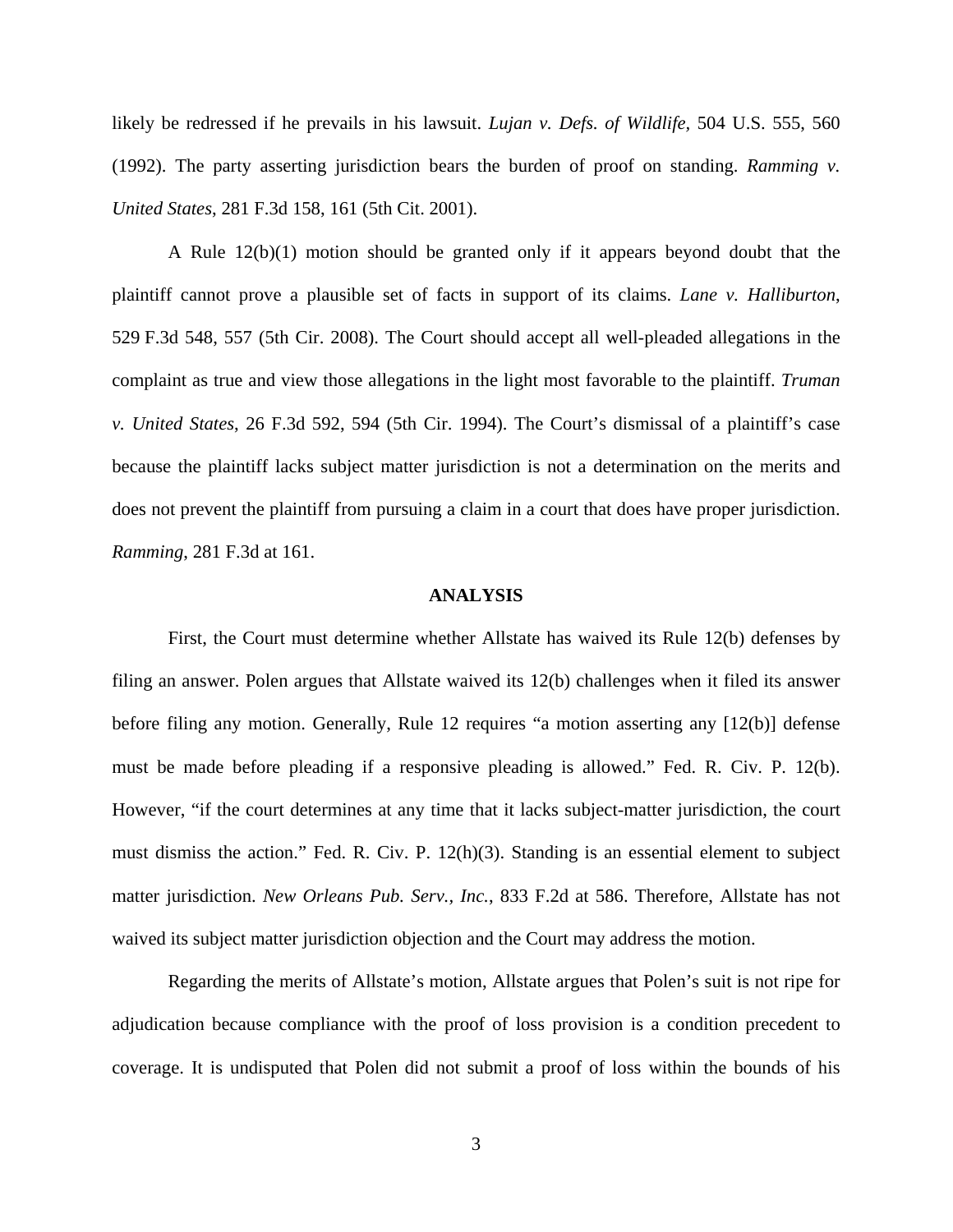likely be redressed if he prevails in his lawsuit. *Lujan v. Defs. of Wildlife,* 504 U.S. 555, 560 (1992). The party asserting jurisdiction bears the burden of proof on standing. *Ramming v. United States*, 281 F.3d 158, 161 (5th Cit. 2001).

A Rule 12(b)(1) motion should be granted only if it appears beyond doubt that the plaintiff cannot prove a plausible set of facts in support of its claims. *Lane v. Halliburton*, 529 F.3d 548, 557 (5th Cir. 2008). The Court should accept all well-pleaded allegations in the complaint as true and view those allegations in the light most favorable to the plaintiff. *Truman v. United States*, 26 F.3d 592, 594 (5th Cir. 1994). The Court's dismissal of a plaintiff's case because the plaintiff lacks subject matter jurisdiction is not a determination on the merits and does not prevent the plaintiff from pursuing a claim in a court that does have proper jurisdiction. *Ramming*, 281 F.3d at 161.

#### **ANALYSIS**

 First, the Court must determine whether Allstate has waived its Rule 12(b) defenses by filing an answer. Polen argues that Allstate waived its 12(b) challenges when it filed its answer before filing any motion. Generally, Rule 12 requires "a motion asserting any [12(b)] defense must be made before pleading if a responsive pleading is allowed." Fed. R. Civ. P. 12(b). However, "if the court determines at any time that it lacks subject-matter jurisdiction, the court must dismiss the action." Fed. R. Civ. P. 12(h)(3). Standing is an essential element to subject matter jurisdiction. *New Orleans Pub. Serv., Inc.*, 833 F.2d at 586. Therefore, Allstate has not waived its subject matter jurisdiction objection and the Court may address the motion.

 Regarding the merits of Allstate's motion, Allstate argues that Polen's suit is not ripe for adjudication because compliance with the proof of loss provision is a condition precedent to coverage. It is undisputed that Polen did not submit a proof of loss within the bounds of his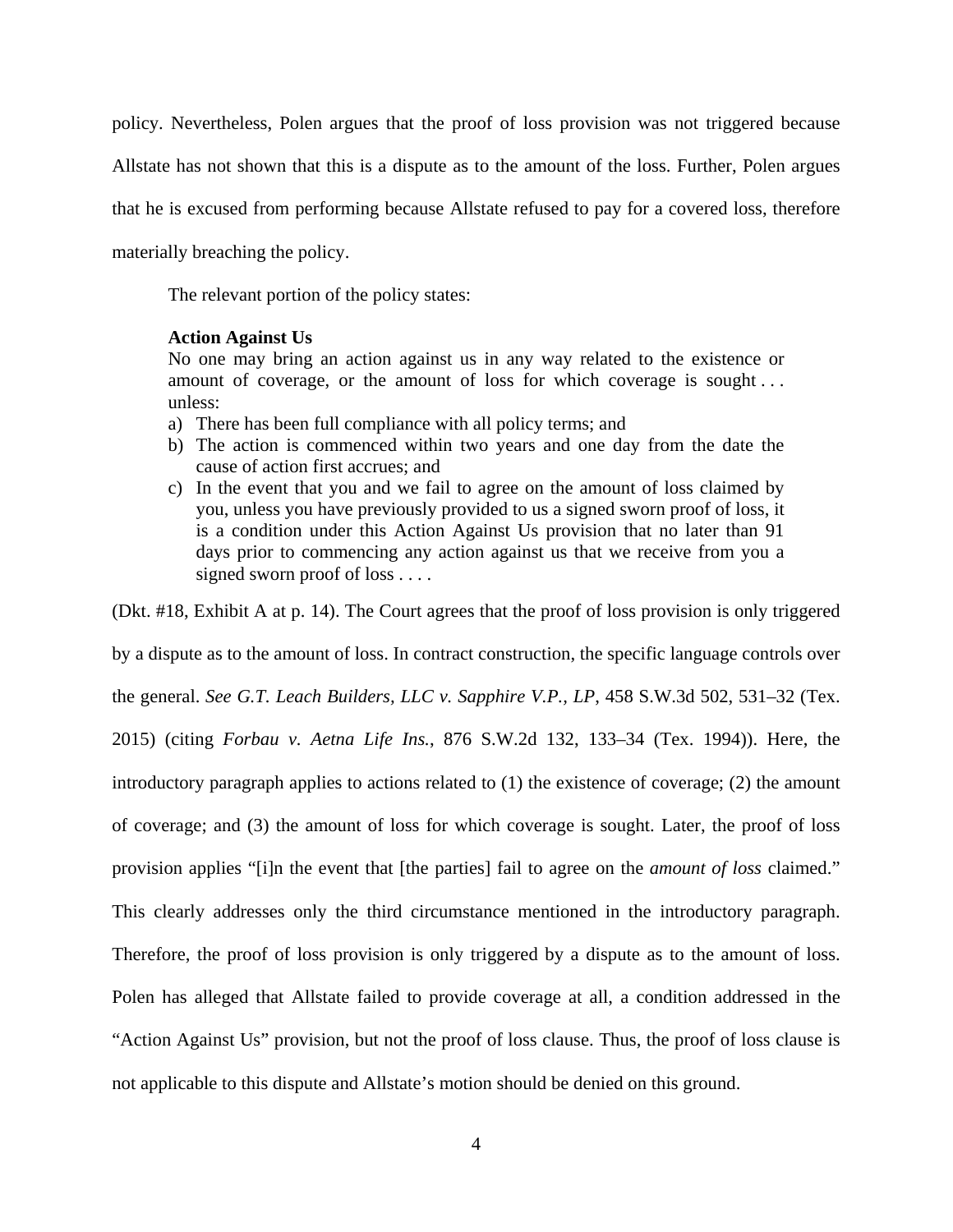policy. Nevertheless, Polen argues that the proof of loss provision was not triggered because Allstate has not shown that this is a dispute as to the amount of the loss. Further, Polen argues that he is excused from performing because Allstate refused to pay for a covered loss, therefore materially breaching the policy.

The relevant portion of the policy states:

### **Action Against Us**

No one may bring an action against us in any way related to the existence or amount of coverage, or the amount of loss for which coverage is sought . . . unless:

- a) There has been full compliance with all policy terms; and
- b) The action is commenced within two years and one day from the date the cause of action first accrues; and
- c) In the event that you and we fail to agree on the amount of loss claimed by you, unless you have previously provided to us a signed sworn proof of loss, it is a condition under this Action Against Us provision that no later than 91 days prior to commencing any action against us that we receive from you a signed sworn proof of loss . . . .

(Dkt. #18, Exhibit A at p. 14). The Court agrees that the proof of loss provision is only triggered by a dispute as to the amount of loss. In contract construction, the specific language controls over the general. *See G.T. Leach Builders, LLC v. Sapphire V.P., LP*, 458 S.W.3d 502, 531–32 (Tex. 2015) (citing *Forbau v. Aetna Life Ins.*, 876 S.W.2d 132, 133–34 (Tex. 1994)). Here, the introductory paragraph applies to actions related to (1) the existence of coverage; (2) the amount of coverage; and (3) the amount of loss for which coverage is sought. Later, the proof of loss provision applies "[i]n the event that [the parties] fail to agree on the *amount of loss* claimed." This clearly addresses only the third circumstance mentioned in the introductory paragraph. Therefore, the proof of loss provision is only triggered by a dispute as to the amount of loss. Polen has alleged that Allstate failed to provide coverage at all, a condition addressed in the "Action Against Us" provision, but not the proof of loss clause. Thus, the proof of loss clause is not applicable to this dispute and Allstate's motion should be denied on this ground.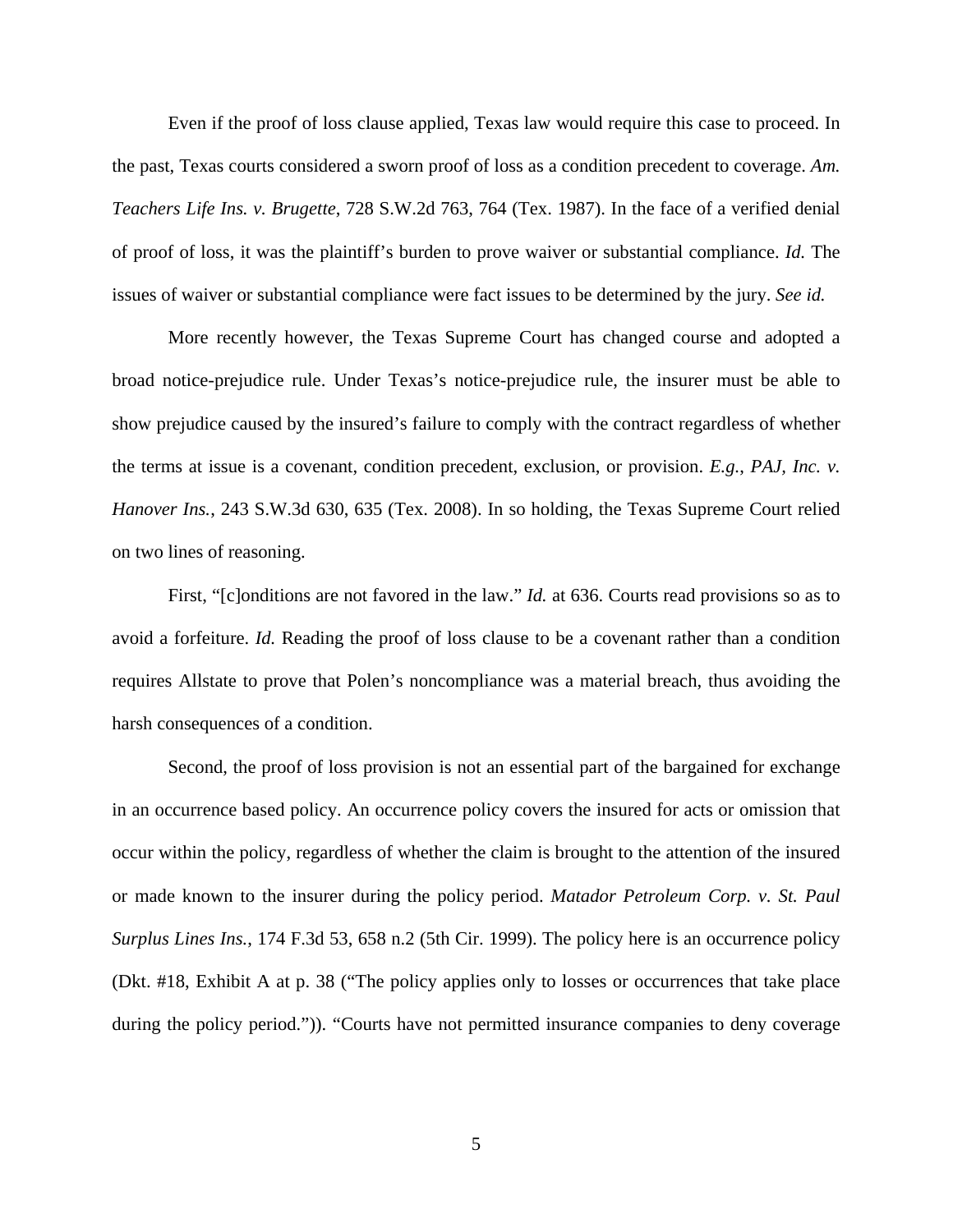Even if the proof of loss clause applied, Texas law would require this case to proceed. In the past, Texas courts considered a sworn proof of loss as a condition precedent to coverage. *Am. Teachers Life Ins. v. Brugette*, 728 S.W.2d 763, 764 (Tex. 1987). In the face of a verified denial of proof of loss, it was the plaintiff's burden to prove waiver or substantial compliance. *Id.* The issues of waiver or substantial compliance were fact issues to be determined by the jury. *See id.*

 More recently however, the Texas Supreme Court has changed course and adopted a broad notice-prejudice rule. Under Texas's notice-prejudice rule, the insurer must be able to show prejudice caused by the insured's failure to comply with the contract regardless of whether the terms at issue is a covenant, condition precedent, exclusion, or provision. *E.g.*, *PAJ, Inc. v. Hanover Ins.*, 243 S.W.3d 630, 635 (Tex. 2008). In so holding, the Texas Supreme Court relied on two lines of reasoning.

 First, "[c]onditions are not favored in the law." *Id.* at 636. Courts read provisions so as to avoid a forfeiture. *Id.* Reading the proof of loss clause to be a covenant rather than a condition requires Allstate to prove that Polen's noncompliance was a material breach, thus avoiding the harsh consequences of a condition.

Second, the proof of loss provision is not an essential part of the bargained for exchange in an occurrence based policy. An occurrence policy covers the insured for acts or omission that occur within the policy, regardless of whether the claim is brought to the attention of the insured or made known to the insurer during the policy period. *Matador Petroleum Corp. v. St. Paul Surplus Lines Ins.*, 174 F.3d 53, 658 n.2 (5th Cir. 1999). The policy here is an occurrence policy (Dkt. #18, Exhibit A at p. 38 ("The policy applies only to losses or occurrences that take place during the policy period.")). "Courts have not permitted insurance companies to deny coverage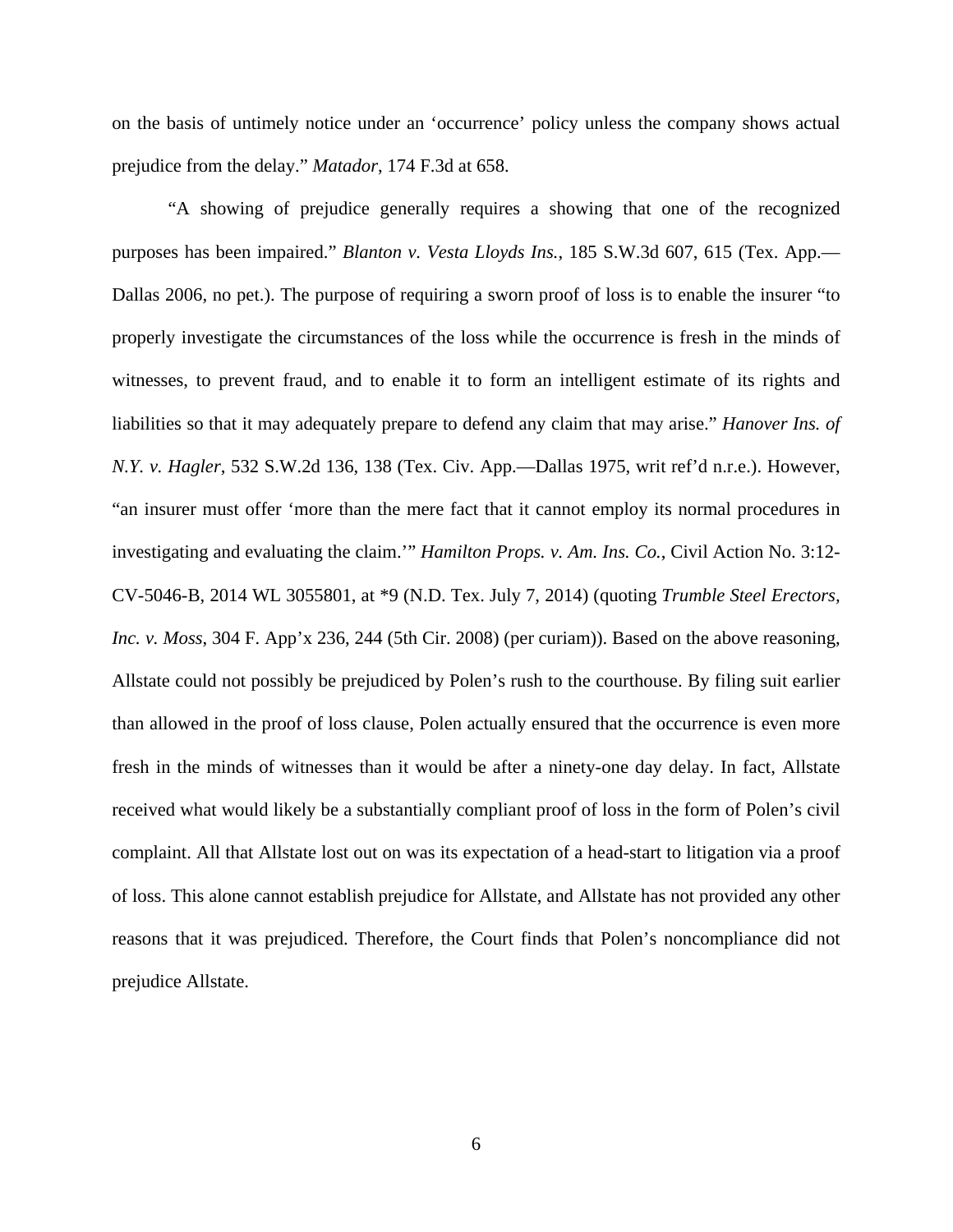on the basis of untimely notice under an 'occurrence' policy unless the company shows actual prejudice from the delay." *Matador*, 174 F.3d at 658.

 "A showing of prejudice generally requires a showing that one of the recognized purposes has been impaired." *Blanton v. Vesta Lloyds Ins.*, 185 S.W.3d 607, 615 (Tex. App.— Dallas 2006, no pet.). The purpose of requiring a sworn proof of loss is to enable the insurer "to properly investigate the circumstances of the loss while the occurrence is fresh in the minds of witnesses, to prevent fraud, and to enable it to form an intelligent estimate of its rights and liabilities so that it may adequately prepare to defend any claim that may arise." *Hanover Ins. of N.Y. v. Hagler*, 532 S.W.2d 136, 138 (Tex. Civ. App.—Dallas 1975, writ ref'd n.r.e.). However, "an insurer must offer 'more than the mere fact that it cannot employ its normal procedures in investigating and evaluating the claim.'" *Hamilton Props. v. Am. Ins. Co.*, Civil Action No. 3:12- CV-5046-B, 2014 WL 3055801, at \*9 (N.D. Tex. July 7, 2014) (quoting *Trumble Steel Erectors, Inc. v. Moss*, 304 F. App'x 236, 244 (5th Cir. 2008) (per curiam)). Based on the above reasoning, Allstate could not possibly be prejudiced by Polen's rush to the courthouse. By filing suit earlier than allowed in the proof of loss clause, Polen actually ensured that the occurrence is even more fresh in the minds of witnesses than it would be after a ninety-one day delay. In fact, Allstate received what would likely be a substantially compliant proof of loss in the form of Polen's civil complaint. All that Allstate lost out on was its expectation of a head-start to litigation via a proof of loss. This alone cannot establish prejudice for Allstate, and Allstate has not provided any other reasons that it was prejudiced. Therefore, the Court finds that Polen's noncompliance did not prejudice Allstate.